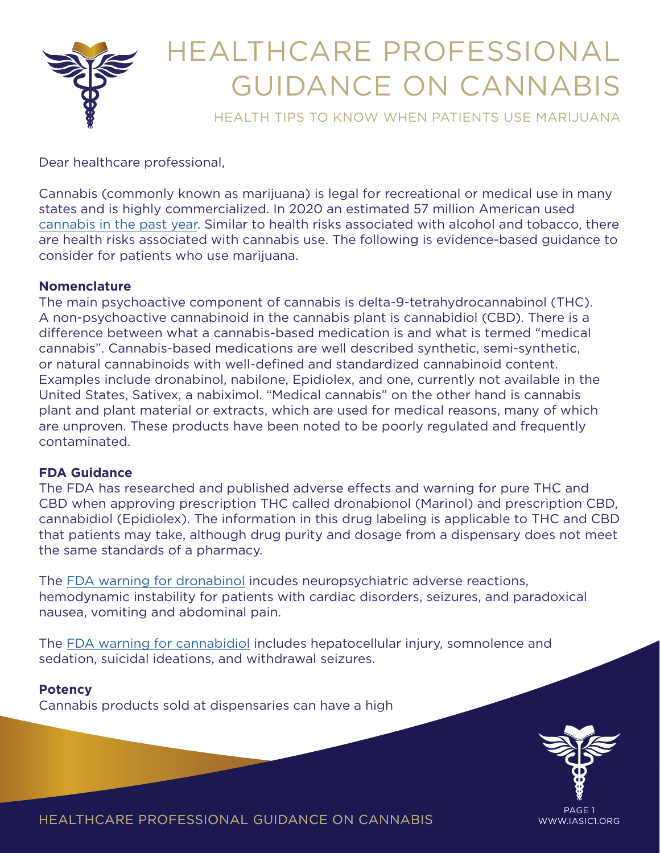

# HEALTHCARE PROFESSIONAL GUIDANCE ON CANNABIS

HEALTH TIPS TO KNOW WHEN PATIENTS USE MARIJUANA

Dear healthcare professional,

Cannabis (commonly known as marijuana) is legal for recreational or medical use in many states and is highly commercialized. In 2020 an estimated 57 million American used [cannabis in the past year](https://www.samhsa.gov/data/sites/default/files/reports/rpt35323/NSDUHDetailedTabs2020/NSDUHDetailedTabs2020/NSDUHDetTabsSect1pe2020.htm). Similar to health risks associated with alcohol and tobacco, there are health risks associated with cannabis use. The following is evidence-based guidance to consider for patients who use marijuana.

# **Nomenclature**

The main psychoactive component of cannabis is delta-9-tetrahydrocannabinol (THC). A non-psychoactive cannabinoid in the cannabis plant is cannabidiol (CBD). There is a difference between what a cannabis-based medication is and what is termed "medical cannabis". Cannabis-based medications are well described synthetic, semi-synthetic, or natural cannabinoids with well-defined and standardized cannabinoid content. Examples include dronabinol, nabilone, Epidiolex, and one, currently not available in the United States, Sativex, a nabiximol. "Medical cannabis" on the other hand is cannabis plant and plant material or extracts, which are used for medical reasons, many of which are unproven. These products have been noted to be poorly regulated and frequently contaminated.

# **FDA Guidance**

The FDA has researched and published adverse effects and warning for pure THC and CBD when approving prescription THC called dronabionol (Marinol) and prescription CBD, cannabidiol (Epidiolex). The information in this drug labeling is applicable to THC and CBD that patients may take, although drug purity and dosage from a dispensary does not meet the same standards of a pharmacy.

The [FDA warning for dronabinol](https://www.accessdata.fda.gov/drugsatfda_docs/label/2017/018651s029lbl.pdf) incudes neuropsychiatric adverse reactions, hemodynamic instability for patients with cardiac disorders, seizures, and paradoxical nausea, vomiting and abdominal pain.

The [FDA warning for cannabidiol](https://www.accessdata.fda.gov/drugsatfda_docs/label/2018/210365lbl.pdf) includes hepatocellular injury, somnolence and sedation, suicidal ideations, and withdrawal seizures.

# **Potency**

Cannabis products sold at dispensaries can have a high



PAGE 1

HEALTHCARE PROFESSIONAL GUIDANCE ON CANNABIS WWW.IASIC1.ORG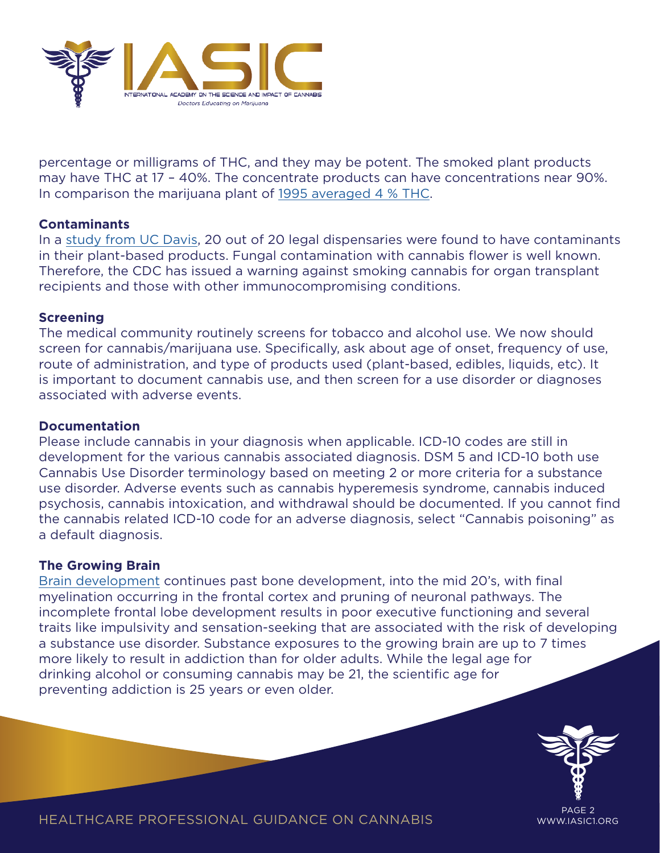

percentage or milligrams of THC, and they may be potent. The smoked plant products may have THC at 17 – 40%. The concentrate products can have concentrations near 90%. In comparison the marijuana plant of [1995 averaged 4 % THC.](https://www.ncbi.nlm.nih.gov/labs/pmc/articles/PMC4987131/)

## **Contaminants**

In a [study from UC Davis](https://www.clinicalmicrobiologyandinfection.com/article/S1198-743X(16)30605-X/fulltext), 20 out of 20 legal dispensaries were found to have contaminants in their plant-based products. Fungal contamination with cannabis flower is well known. Therefore, the CDC has issued a warning against smoking cannabis for organ transplant recipients and those with other immunocompromising conditions.

## **Screening**

The medical community routinely screens for tobacco and alcohol use. We now should screen for cannabis/marijuana use. Specifically, ask about age of onset, frequency of use, route of administration, and type of products used (plant-based, edibles, liquids, etc). It is important to document cannabis use, and then screen for a use disorder or diagnoses associated with adverse events.

## **Documentation**

Please include cannabis in your diagnosis when applicable. ICD-10 codes are still in development for the various cannabis associated diagnosis. DSM 5 and ICD-10 both use Cannabis Use Disorder terminology based on meeting 2 or more criteria for a substance use disorder. Adverse events such as cannabis hyperemesis syndrome, cannabis induced psychosis, cannabis intoxication, and withdrawal should be documented. If you cannot find the cannabis related ICD-10 code for an adverse diagnosis, select "Cannabis poisoning" as a default diagnosis.

## **The Growing Brain**

[Brain development](https://nida.nih.gov/publications/drugs-brains-behavior-science-addiction/preventing-drug-misuse-addiction-best-strategy) continues past bone development, into the mid 20's, with final myelination occurring in the frontal cortex and pruning of neuronal pathways. The incomplete frontal lobe development results in poor executive functioning and several traits like impulsivity and sensation-seeking that are associated with the risk of developing a substance use disorder. Substance exposures to the growing brain are up to 7 times more likely to result in addiction than for older adults. While the legal age for drinking alcohol or consuming cannabis may be 21, the scientific age for preventing addiction is 25 years or even older.



HEALTHCARE PROFESSIONAL GUIDANCE ON CANNABIS WWW.IASIC1.ORG

PAGE 2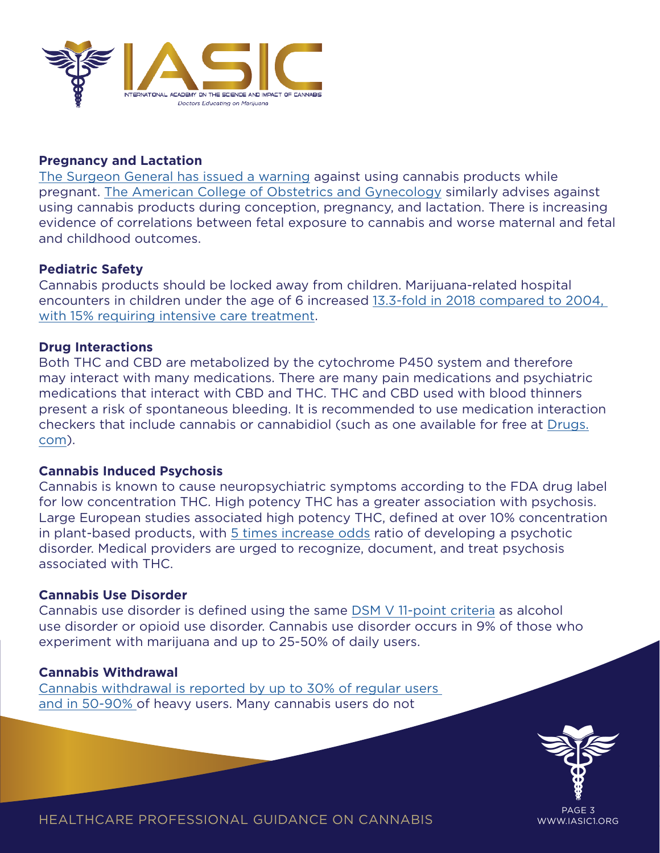

## **Pregnancy and Lactation**

[The Surgeon General has issued a warning](https://www.hhs.gov/surgeongeneral/reports-and-publications/addiction-and-substance-misuse/advisory-on-marijuana-use-and-developing-brain/index.html) against using cannabis products while pregnant. [The American College of Obstetrics and Gynecology](https://www.acog.org/clinical/clinical-guidance/committee-opinion/articles/2017/10/marijuana-use-during-pregnancy-and-lactation) similarly advises against using cannabis products during conception, pregnancy, and lactation. There is increasing evidence of correlations between fetal exposure to cannabis and worse maternal and fetal and childhood outcomes.

#### **Pediatric Safety**

Cannabis products should be locked away from children. Marijuana-related hospital encounters in children under the age of 6 increased [13.3-fold in 2018 compared to 2004,](https://www.sciencedirect.com/science/article/abs/pii/S1876285921003776)  [with 15% requiring intensive care treatment](https://www.sciencedirect.com/science/article/abs/pii/S1876285921003776).

#### **Drug Interactions**

Both THC and CBD are metabolized by the cytochrome P450 system and therefore may interact with many medications. There are many pain medications and psychiatric medications that interact with CBD and THC. THC and CBD used with blood thinners present a risk of spontaneous bleeding. It is recommended to use medication interaction checkers that include cannabis or cannabidiol (such as one available for free at [Drugs.](http://drugs.com/) [com\)](http://drugs.com/).

## **Cannabis Induced Psychosis**

Cannabis is known to cause neuropsychiatric symptoms according to the FDA drug label for low concentration THC. High potency THC has a greater association with psychosis. Large European studies associated high potency THC, defined at over 10% concentration in plant-based products, with [5 times increase odds](https://www.thelancet.com/article/S2215-0366(19)30048-3/fulltext) ratio of developing a psychotic disorder. Medical providers are urged to recognize, document, and treat psychosis associated with THC.

#### **Cannabis Use Disorder**

Cannabis use disorder is defined using the same [DSM V 11-point criteria](https://jamanetwork.com/journals/jama/article-abstract/379036) as alcohol use disorder or opioid use disorder. Cannabis use disorder occurs in 9% of those who experiment with marijuana and up to 25-50% of daily users.

#### **Cannabis Withdrawal**

[Cannabis withdrawal is reported by up to 30% of regular users](https://www.ncbi.nlm.nih.gov/labs/pmc/articles/PMC5719106/)  [and in 50-90% o](https://www.ncbi.nlm.nih.gov/labs/pmc/articles/PMC5719106/)f heavy users. Many cannabis users do not



PAGE 3

HEALTHCARE PROFESSIONAL GUIDANCE ON CANNABIS WWW.IASIC1.ORG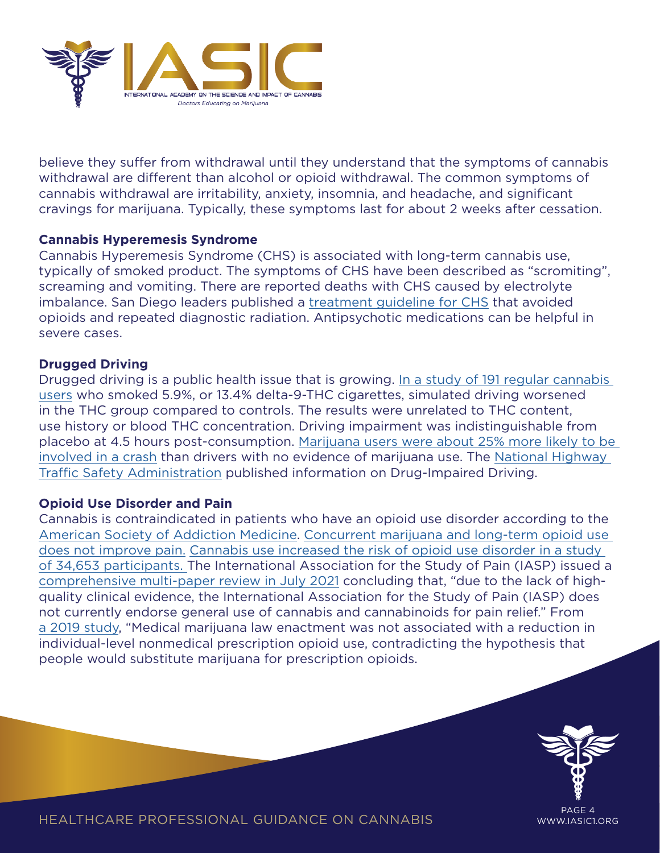

believe they suffer from withdrawal until they understand that the symptoms of cannabis withdrawal are different than alcohol or opioid withdrawal. The common symptoms of cannabis withdrawal are irritability, anxiety, insomnia, and headache, and significant cravings for marijuana. Typically, these symptoms last for about 2 weeks after cessation.

## **Cannabis Hyperemesis Syndrome**

Cannabis Hyperemesis Syndrome (CHS) is associated with long-term cannabis use, typically of smoked product. The symptoms of CHS have been described as "scromiting", screaming and vomiting. There are reported deaths with CHS caused by electrolyte imbalance. San Diego leaders published a [treatment guideline for CHS](https://www.ncbi.nlm.nih.gov/labs/pmc/articles/PMC5851514/) that avoided opioids and repeated diagnostic radiation. Antipsychotic medications can be helpful in severe cases.

# **Drugged Driving**

Drugged driving is a public health issue that is growing. [In a study of 191 regular cannabis](https://jamanetwork.com/journals/jamapsychiatry/fullarticle/2788264)  [users](https://jamanetwork.com/journals/jamapsychiatry/fullarticle/2788264) who smoked 5.9%, or 13.4% delta-9-THC cigarettes, simulated driving worsened in the THC group compared to controls. The results were unrelated to THC content, use history or blood THC concentration. Driving impairment was indistinguishable from placebo at 4.5 hours post-consumption. [Marijuana users were about 25% more likely to be](https://www.cdc.gov/transportationsafety/impaired_driving/impaired-drv_factsheet.html)  [involved in a crash](https://www.cdc.gov/transportationsafety/impaired_driving/impaired-drv_factsheet.html) than drivers with no evidence of marijuana use. The [National Highway](https://www.nhtsa.gov/risky-driving/drug-impaired-driving#the-issue-marijuana-impairs)  [Traffic Safety Administration](https://www.nhtsa.gov/risky-driving/drug-impaired-driving#the-issue-marijuana-impairs) published information on Drug-Impaired Driving.

## **Opioid Use Disorder and Pain**

Cannabis is contraindicated in patients who have an opioid use disorder according to the [American Society of Addiction Medicine.](https://www.asam.org/docs/default-source/public-policy-statements/2020-public-policy-statement-on-cannabis.pdf?sfvrsn=aa3c58c2_2) [Concurrent marijuana and long-term opioid use](https://pubmed.ncbi.nlm.nih.gov/29153783/)  [does not improve pain.](https://pubmed.ncbi.nlm.nih.gov/29153783/) Cannabis use increased the risk of opioid use disorder in a study of 34,653 participants. The International Association for the Study of Pain (IASP) issued a [comprehensive multi-paper review in July 2021](https://journals.lww.com/pain/toc/2021/07001?mkt_tok=NjgxLUZIRS00MjkAAAF-ZOn80Q54bTKbENgZ3CikwcGlDuzvbXB0sth7I0yLASDAqkmUhNSUWJMXyEsUCpb72qELLRWvatQm0HzsEL00wg7Oibe363pyu8vEngW4QtH78YSqvg) concluding that, "due to the lack of highquality clinical evidence, the International Association for the Study of Pain (IASP) does not currently endorse general use of cannabis and cannabinoids for pain relief." From [a 2019 study](https://jamanetwork.com/journals/jamanetworkopen/fullarticle/2738028?utm_campaign=articlePDF&utm_medium=articlePDFlink&utm_source=articlePDF&utm_content=jamanetworkopen.2019.7216), "Medical marijuana law enactment was not associated with a reduction in individual-level nonmedical prescription opioid use, contradicting the hypothesis that people would substitute marijuana for prescription opioids.



PAGE 4

HEALTHCARE PROFESSIONAL GUIDANCE ON CANNABIS WWW.IASIC1.ORG